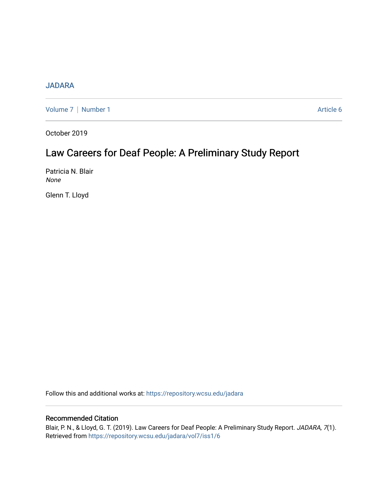## [JADARA](https://repository.wcsu.edu/jadara)

[Volume 7](https://repository.wcsu.edu/jadara/vol7) | [Number 1](https://repository.wcsu.edu/jadara/vol7/iss1) Article 6

October 2019

# Law Careers for Deaf People: A Preliminary Study Report

Patricia N. Blair None

Glenn T. Lloyd

Follow this and additional works at: [https://repository.wcsu.edu/jadara](https://repository.wcsu.edu/jadara?utm_source=repository.wcsu.edu%2Fjadara%2Fvol7%2Fiss1%2F6&utm_medium=PDF&utm_campaign=PDFCoverPages)

### Recommended Citation

Blair, P. N., & Lloyd, G. T. (2019). Law Careers for Deaf People: A Preliminary Study Report. JADARA, 7(1). Retrieved from [https://repository.wcsu.edu/jadara/vol7/iss1/6](https://repository.wcsu.edu/jadara/vol7/iss1/6?utm_source=repository.wcsu.edu%2Fjadara%2Fvol7%2Fiss1%2F6&utm_medium=PDF&utm_campaign=PDFCoverPages)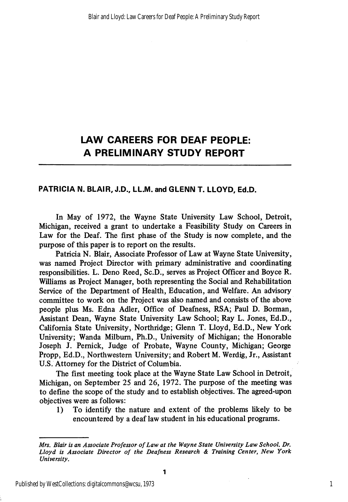# LAW CAREERS FOR DEAF PEOPLE: A PRELIMINARY STUDY REPORT

### PATRICIA N. BLAIR, J.D., LL.M. and GLENN T. LLOYD, Ed.D.

In May of 1972, the Wayne State University Law School, Detroit, Michigan, received a grant to undertake a Feasibility Study on Careers in Law for the Deaf. The first phase of the Study is now complete, and the purpose of this paper is to report on the results.

Patricia N. Blair, Associate Professor of Law at Wayne State University, was named Project Director with primary administrative and coordinating responsibilities. L. Deno Reed, Sc.D., serves as Project Officer and Boyce R. Williams as Project Manager, both representing the Social and Rehabilitation Service of the Department of Health, Education, and Welfare. An advisory committee to work on the Project was also named and consists of the above people plus Ms. Edna Adler, Office of Deafness, RSA; Paul D. Borman, Assistant Dean, Wayne State University Law School; Ray L. Jones, Ed.D., California State University, Northridge; Glenn T. Lloyd, Ed.D., New York University; Wanda Milbum, Ph.D., University of Michigan; the Honorable Joseph J. Pemick, Judge of Probate, Wayne County, Michigan; George Propp, Ed.D., Northwestern University; and Robert M. Werdig, Jr., Assistant U.S. Attorney for the District of Columbia.

The first meeting took place at the Wayne State Law School in Detroit, Michigan, on September 25 and 26, 1972. The purpose of the meeting was to define the scope of the study and to establish objectives. The agreed-upon objectives were as follows:

1) To identify the nature and extent of the problems likely to be encountered by a deaf law student in his educational programs.

Mrs. Blair is an Associate Professor of Law at the Wayne State University Law School. Dr. Lloyd is Associate Director of the Deafness Research & Training Center, New York University.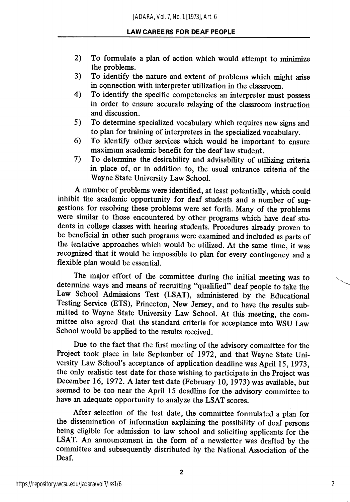- 2) To fonnulate a plan of action which would attempt to minimize the problems.
- 3) To identify the nature and extent of problems which might arise in connection with interpreter utilization in the classroom.
- 4) To identify the specific competencies an interpreter must possess in order to ensure accurate relaying of the classroom instruction and discussion.
- 5) To determine specialized vocabulary which requires new signs and to plan for training of interpreters in the specialized vocabulary.
- 6) To identify other services which would be important to ensure maximum academic benefit for the deaf law student.
- 7) To determine the desirability and adwsability of utilizing criteria in place of, or in addition to, the usual entrance criteria of the Wayne State University Law School.

A number of problems were identified, at least potentially, which could inhibit the academic opportunity for deaf students and a number of sug gestions for resolving these problems were set forth. Many of the problems were similar to those encountered by other programs which have deaf stu dents in college classes with hearing students. Procedures already proven to be beneficial in other such programs were examined and included as parts of the tentative approaches which would be utilized. At the same time, it was recognized that it would be impossible to plan for every contingency and a flexible plan would be essential.

The major effort of the committee during the initial meeting was to determine ways and means of recruiting "qualified" deaf people to take the Law School Admissions Test (LSAT), administered by the Educational Testing Service (ETS), Princeton, New Jersey, and to have the results sub mitted to Wayne State University Law School. At this meeting, the com mittee also agreed that the standard criteria for acceptance into WSU Law School would be applied to the results received.

Due to the fact that the first meeting of the advisory committee for the Project took place in late September of 1972, and that Wayne State Uni versity Law School's acceptance of application deadline was April 15,1973, the only realistic test date for those wishing to participate in the Project was December 16, 1972. A later test date (February 10, 1973) was available, but seemed to be too near the April 15 deadline for the advisory committee to have an adequate opportunity to analyze the LSAT scores.

After selection of the test date, the committee formulated a plan for the dissemination of information explaining the possibility of deaf persons being eligible for admission to law school and soliciting applicants for the LSAT. An announcement in the form of a newsletter was drafted by the committee and subsequently distributed by the National Association of the Deaf.

2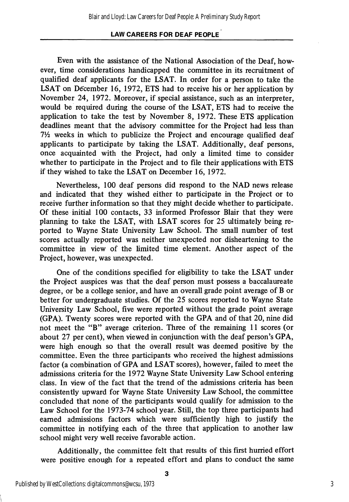### LAW CAREERS FOR DEAF PEOPLE

Even with the assistance of the National Association of the Deaf, how ever, time considerations handicapped the committee in its recruitment of qualified deaf applicants for the LSAT. In order for a person to take the LSAT on December 16, 1972, ETS had to receive his or her application by November 24, 1972. Moreover, if special assistance, such as an interpreter, would be required during the course of the LSAT, ETS had to receive the application to take the test by November 8, 1972. These ETS application deadlines meant that the advisory committee for the Project had less than  $7\frac{1}{2}$  weeks in which to publicize the Project and encourage qualified deaf applicants to participate by taking the LSAT. Additionally, deaf persons, once acquainted with the Project, had only a limited time to consider whether to participate in the Project and to file their applications with ETS if they wished to take the LSAT on December 16, 1972.

Nevertheless, 100 deaf persons did respond to the NAD news release and indicated that they wished either to participate in the Project or to receive further information so that they might decide whether to participate. Of these initial 100 contacts, 33 informed Professor Blair that they were planning to take the LSAT, with LSAT scores for 25 ultimately being re ported to Wayne State University Law School. The small number of test scores actually reported was neither unexpected nor disheartening to the committee in view of the limited time element. Another aspect of the Project, however, was unexpected.

One of the conditions specified for eligibility to take the LSAT under the Project auspices was that the deaf person must possess a baccalaureate degree, or be a college senior, and have an overall grade point average of B or better for undergraduate studies. Of the 25 scores reported to Wayne State University Law School, five were reported without the grade point average (GPA). Twenty scores were reported with the GPA and of that 20, nine did not meet the "B" average criterion. Three of the remaining 11 scores (or about 27 per cent), when viewed in conjunction with the deaf person's GPA, were high enough so that the overall result was deemed positive by the committee. Even the three participants who received the highest admissions factor (a combination of GPA and LSAT scores), however, failed to meet the admissions criteria for the 1972 Wayne State University Law School entering class. In view of the fact that the trend of the admissions criteria has been consistently upward for Wayne State University Law School, the committee concluded that none of the participants would qualify for admission to the Law School for the 1973-74 school year. Still, the top three participants had earned admissions factors which were sufficiently high to justify the committee in notifying each of the three that application to another law school might very well receive favorable action.

Additionally, the committee felt that results of this first hurried effort were positive enough for a repeated effort and plans to conduct the same

3